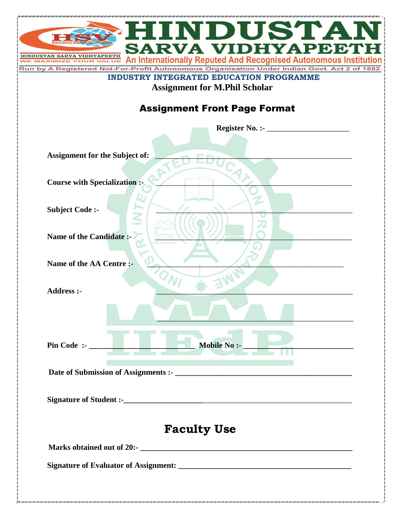| HINDUSTAN                                                                                                                                                            |
|----------------------------------------------------------------------------------------------------------------------------------------------------------------------|
| <b>SARVA VIDHYAPEETH</b>                                                                                                                                             |
| An Internationally Reputed And Recognised Autonomous Institution<br>or-Profit Autonomous Organisation Under Indian Govt. Act 2 of 1882<br><b>Run by A Registered</b> |
| <b>INDUSTRY INTEGRATED EDUCATION PROGRAMME</b>                                                                                                                       |
| <b>Assignment for M.Phil Scholar</b>                                                                                                                                 |
| <b>Assignment Front Page Format</b>                                                                                                                                  |
| Register No. :- $\_\_\_\_\_\_\_\_\_\_\_\_\_\_\_\_\_$                                                                                                                 |
|                                                                                                                                                                      |
| <b>Assignment for the Subject of:</b>                                                                                                                                |
|                                                                                                                                                                      |
| <b>Course with Specialization :-</b>                                                                                                                                 |
| <b>Subject Code:-</b>                                                                                                                                                |
|                                                                                                                                                                      |
| Name of the Candidate:                                                                                                                                               |
|                                                                                                                                                                      |
| Name of the AA Centre :-                                                                                                                                             |
|                                                                                                                                                                      |
| <b>Address :-</b>                                                                                                                                                    |
|                                                                                                                                                                      |
|                                                                                                                                                                      |
|                                                                                                                                                                      |
|                                                                                                                                                                      |
|                                                                                                                                                                      |
|                                                                                                                                                                      |
|                                                                                                                                                                      |
| <b>Faculty Use</b>                                                                                                                                                   |
|                                                                                                                                                                      |
|                                                                                                                                                                      |
|                                                                                                                                                                      |
|                                                                                                                                                                      |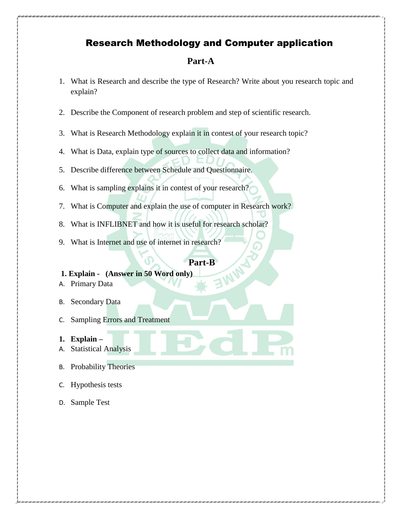# Research Methodology and Computer application

## **Part-A**

- 1. What is Research and describe the type of Research? Write about you research topic and explain?
- 2. Describe the Component of research problem and step of scientific research.
- 3. What is Research Methodology explain it in contest of your research topic?
- 4. What is Data, explain type of sources to collect data and information?
- 5. Describe difference between Schedule and Questionnaire.
- 6. What is sampling explains it in contest of your research?
- 7. What is Computer and explain the use of computer in Research work?
- 8. What is INFLIBNET and how it is useful for research scholar?
- 9. What is Internet and use of internet in research?

# **Part-B**

## **1. Explain - (Answer in 50 Word only)**

- A. Primary Data
- B. Secondary Data
- C. Sampling Errors and Treatment
- **1. Explain –**
- A. Statistical Analysis
- B. Probability Theories
- C. Hypothesis tests
- D. Sample Test